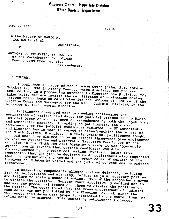## Supreme Court—Appellate Division *<u>Uhird Indicial Bepartment</u>*

May 2, 1991

 $\mathbf{v}$ 

62134

In the Matter of MARIO M. CASTRACAN et al.,

Appellants,

ANTHONY J. COLAVITA, as Chairman of the Westchester Republican County Committee, et al.,

Respondents.

PER CURIAM.

Appeal from an order of the Supreme Court (Kahn, J.), entered October 17, 1990 in Albany County, which dismissed petitioners' application, in a proceeding pursuant to Election Law S 16-102, to, inter alia, declare invalid the certificates of nomination naming various respondents as candidates for the offices of Justice of the Supreme Court and Surrogate for the Ninth Judicial District in the November 6, 1990 general election.

Petitioners commenced this proceeding challenging the nominations of various candidates for judicial offices in the Ninth Judicial District who had been cross-endorsed by both the Republican and Democratic parties. According to petitioners, the cross endorsement of the judicial candidates violated the NY Constitution and Election Law in that it served to disenfranchise the voters of the Ninth Judicial District. In their petition, petitioners sought to void what they claimed to be an illegal three-year plan engineered by various Republican and Democratic Executive Committees of the counties in the Ninth Judicial District whereby it was apparently agreed upon in advance that certain candidates would be cross-endorsed by the political parties involved. requesting that the plan be declared void, petitioners also requested that the nominations and nominating certificates of certain of the involved candidates be voided and the judicial conventions be ordered

In answering, respondents alleged various defenses, including lack of jurisdiction and standing, failure to join necessary parties and failure to state a cause of action. Two of the respondents moved to dismiss the petition. Supreme Court specifically decided not to address any procedural issues and chose to dismiss the petition on the merits. The court found that the cross endorsement of judicial candidates was not prohibited by the Election Law and, since the challenged candidates were properly nominated by the conventions, no relief could be granted. This appeal by petitioners followed.

 $^{\prime\prime}$ A $^{\prime\prime}$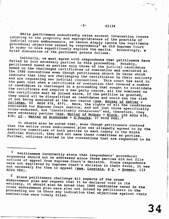While petitioners undoubtedly raise several interesting issues relating to the propriety and appropriateness of the practice of judicial cross endorsements, we cannot simply ignore the legitimate<br>procedural objections raised by respondents<sup>1</sup> as did Supreme Court in order to more expeditiously explore the merits. Accordingly, a brief discussion of the pertinent points follows.

Initially, we must agree with respondents that petitioners have failed to join necessary parties in this proceeding. Notably, petitioners named as parties only three of the judicial candidates named on the challenged certificates of nomination and nominated at the 1990 conventions even though petitioners object in terms which indicate that they are challenging the certificates in their entirety and are requesting new judicial conventions. This court has said in the past that when a certificate of nomination that covered a number of candidates is challenged in a proceeding that sought to invalidate the certificate and require a new party caucus, all the nominees on the certificate must be joined since, if the petition is granted, they would all be disqualified as candidates and would run the risk of not being nominated at the new caucus (see, Matter of Sahler v Callahan, 92 AD2d 976, 977). Here, the rights of all the candidates nominated for Supreme Court Justice, and not just those specifically<br>cross-endorsed, are "inextricably interwoven" and, therefore, they were necessary parties (see, Matter of McGoey v Black, 100 AD2d 635,

It should also be noted that, even though petitioners contend that the entire cross endorsement plan was allegedly agreed to by the executive committees of both parties in each county in the Ninth Judicial District, they did not name these committees as parties. Further, officers elected in the conventions that are requested to be

 $\mathbf{I}$ Petitioners incorrectly state that respondents' procedural arguments should not be addressed since those parties did not file notices of appeal from Supreme Court's decision. Since respondents were not aggrieved by Supreme Court's decision in their favor, it was not necessary for them to appeal (see, Lonstein, P.C. v Seeman, 112

Since petitioners challenge all aspects of the cross endorsement plan and request that it be declared void in its entirety, it should also be noted that 1989 candidates named in the cross endorsement plan were also not joined by petitioners in the proceeding nor is there any indication that objections against their nominations were timely filed.

2

62134